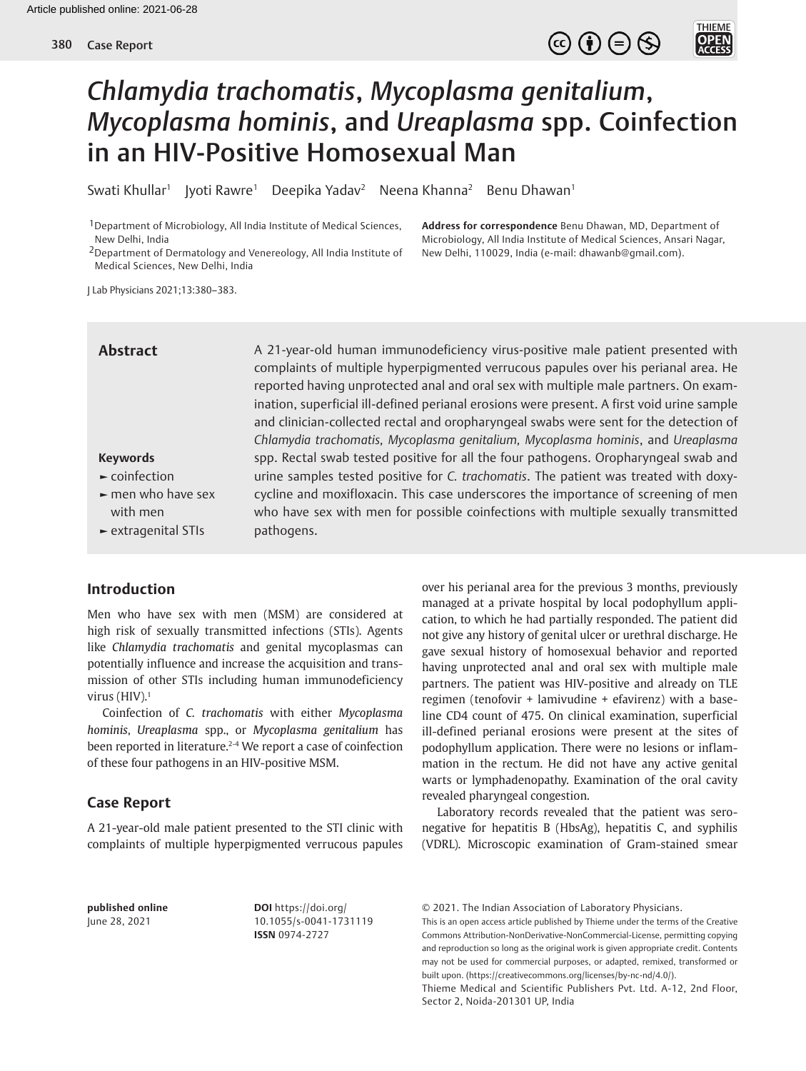



# *Chlamydia trachomatis*, *Mycoplasma genitalium*, *Mycoplasma hominis*, and *Ureaplasma* spp. Coinfection in an HIV-Positive Homosexual Man

Swati Khullar<sup>1</sup> Jyoti Rawre<sup>1</sup> Deepika Yadav<sup>2</sup> Neena Khanna<sup>2</sup> Benu Dhawan<sup>1</sup>

<sup>1</sup> Department of Microbiology, All India Institute of Medical Sciences, New Delhi, India

2Department of Dermatology and Venereology, All India Institute of Medical Sciences, New Delhi, India

**Address for correspondence** Benu Dhawan, MD, Department of Microbiology, All India Institute of Medical Sciences, Ansari Nagar, New Delhi, 110029, India (e-mail: dhawanb@gmail.com).

J Lab Physicians 2021;13:380–383.

## **Abstract**

A 21-year-old human immunodeficiency virus-positive male patient presented with complaints of multiple hyperpigmented verrucous papules over his perianal area. He reported having unprotected anal and oral sex with multiple male partners. On examination, superficial ill-defined perianal erosions were present. A first void urine sample and clinician-collected rectal and oropharyngeal swabs were sent for the detection of *Chlamydia trachomatis, Mycoplasma genitalium, Mycoplasma hominis*, and *Ureaplasma*  spp. Rectal swab tested positive for all the four pathogens. Oropharyngeal swab and urine samples tested positive for *C. trachomatis*. The patient was treated with doxycycline and moxifloxacin. This case underscores the importance of screening of men who have sex with men for possible coinfections with multiple sexually transmitted pathogens.

## **Keywords**

- **►** coinfection
- **►** men who have sex with men
- **►** extragenital STIs

## **Introduction**

Men who have sex with men (MSM) are considered at high risk of sexually transmitted infections (STIs). Agents like *Chlamydia trachomatis* and genital mycoplasmas can potentially influence and increase the acquisition and transmission of other STIs including human immunodeficiency virus (HIV).<sup>1</sup>

Coinfection of *C. trachomatis* with either *Mycoplasma hominis*, *Ureaplasma* spp., or *Mycoplasma genitalium* has been reported in literature.<sup>2-4</sup> We report a case of coinfection of these four pathogens in an HIV-positive MSM.

## **Case Report**

A 21-year-old male patient presented to the STI clinic with complaints of multiple hyperpigmented verrucous papules over his perianal area for the previous 3 months, previously managed at a private hospital by local podophyllum application, to which he had partially responded. The patient did not give any history of genital ulcer or urethral discharge. He gave sexual history of homosexual behavior and reported having unprotected anal and oral sex with multiple male partners. The patient was HIV-positive and already on TLE regimen (tenofovir + lamivudine + efavirenz) with a baseline CD4 count of 475. On clinical examination, superficial ill-defined perianal erosions were present at the sites of podophyllum application. There were no lesions or inflammation in the rectum. He did not have any active genital warts or lymphadenopathy. Examination of the oral cavity revealed pharyngeal congestion.

Laboratory records revealed that the patient was seronegative for hepatitis B (HbsAg), hepatitis C, and syphilis (VDRL). Microscopic examination of Gram-stained smear

**published online** June 28, 2021

**DOI** https://doi.org/ 10.1055/s-0041-1731119 **ISSN** 0974-2727

Thieme Medical and Scientific Publishers Pvt. Ltd. A-12, 2nd Floor, Sector 2, Noida-201301 UP, India

<sup>© 2021.</sup> The Indian Association of Laboratory Physicians.

This is an open access article published by Thieme under the terms of the Creative Commons Attribution-NonDerivative-NonCommercial-License, permitting copying and reproduction so long as the original work is given appropriate credit. Contents may not be used for commercial purposes, or adapted, remixed, transformed or built upon. (https://creativecommons.org/licenses/by-nc-nd/4.0/).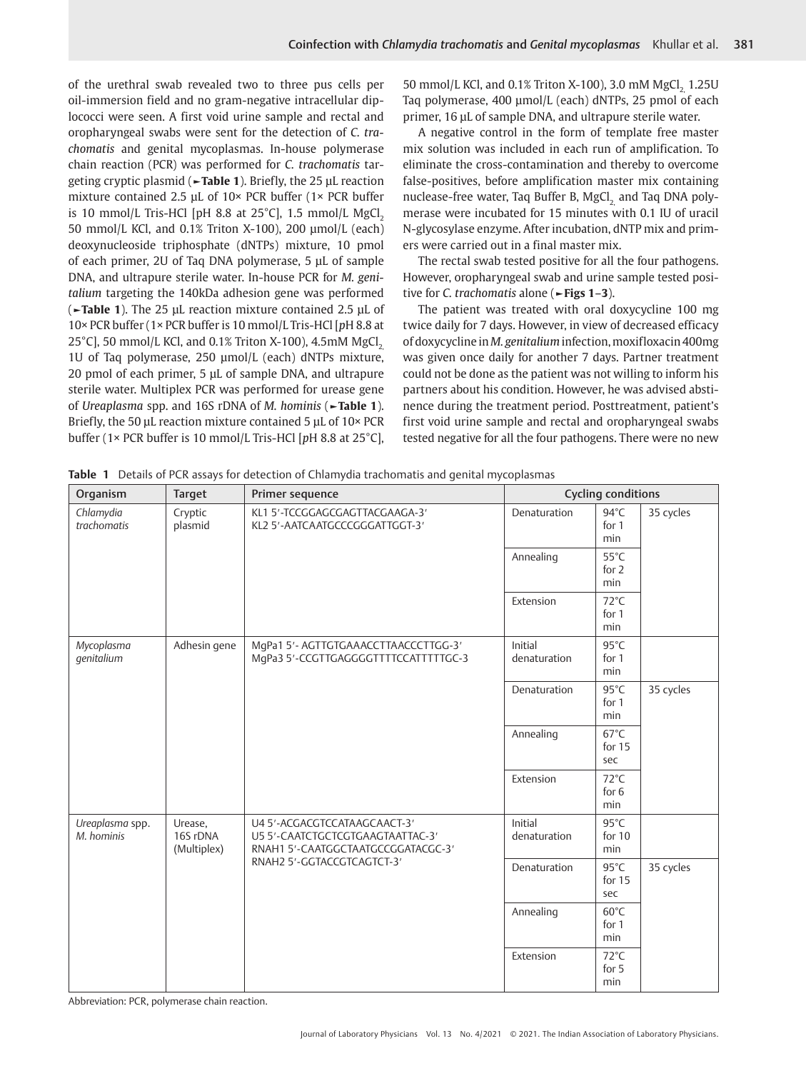of the urethral swab revealed two to three pus cells per oil-immersion field and no gram-negative intracellular diplococci were seen. A first void urine sample and rectal and oropharyngeal swabs were sent for the detection of *C. trachomatis* and genital mycoplasmas. In-house polymerase chain reaction (PCR) was performed for *C. trachomatis* targeting cryptic plasmid (**►Table 1**). Briefly, the 25 μL reaction mixture contained 2.5 μL of 10× PCR buffer (1× PCR buffer is 10 mmol/L Tris-HCl [pH 8.8 at  $25^{\circ}$ C], 1.5 mmol/L MgCl<sub>2</sub> 50 mmol/L KCl, and 0.1% Triton X-100), 200 μmol/L (each) deoxynucleoside triphosphate (dNTPs) mixture, 10 pmol of each primer, 2U of Taq DNA polymerase, 5 μL of sample DNA, and ultrapure sterile water. In-house PCR for *M. genitalium* targeting the 140kDa adhesion gene was performed (**►Table 1**). The 25 μL reaction mixture contained 2.5 μL of 10× PCR buffer (1× PCR buffer is 10 mmol/L Tris-HCl [*p*H 8.8 at 25 $^{\circ}$ C], 50 mmol/L KCl, and 0.1% Triton X-100), 4.5mM MgCl, 1U of Taq polymerase, 250 μmol/L (each) dNTPs mixture, 20 pmol of each primer, 5 μL of sample DNA, and ultrapure sterile water. Multiplex PCR was performed for urease gene of *Ureaplasma* spp. and 16S rDNA of *M. hominis* (**►Table 1**). Briefly, the 50 μL reaction mixture contained 5 μL of 10× PCR buffer (1× PCR buffer is 10 mmol/L Tris-HCl [*p*H 8.8 at 25°C],

50 mmol/L KCl, and 0.1% Triton X-100), 3.0 mM MgCl, 1.25U Taq polymerase, 400 μmol/L (each) dNTPs, 25 pmol of each primer, 16 μL of sample DNA, and ultrapure sterile water.

A negative control in the form of template free master mix solution was included in each run of amplification. To eliminate the cross-contamination and thereby to overcome false-positives, before amplification master mix containing nuclease-free water, Taq Buffer B, MgCl<sub>2</sub> and Taq DNA polymerase were incubated for 15 minutes with 0.1 IU of uracil N-glycosylase enzyme. After incubation, dNTP mix and primers were carried out in a final master mix.

The rectal swab tested positive for all the four pathogens. However, oropharyngeal swab and urine sample tested positive for *C. trachomatis* alone (**►Figs 1**–**3**).

The patient was treated with oral doxycycline 100 mg twice daily for 7 days. However, in view of decreased efficacy of doxycycline in *M. genitalium* infection, moxifloxacin 400mg was given once daily for another 7 days. Partner treatment could not be done as the patient was not willing to inform his partners about his condition. However, he was advised abstinence during the treatment period. Posttreatment, patient's first void urine sample and rectal and oropharyngeal swabs tested negative for all the four pathogens. There were no new

|  |  |  | Table 1 Details of PCR assays for detection of Chlamydia trachomatis and genital mycoplasmas |  |  |
|--|--|--|----------------------------------------------------------------------------------------------|--|--|
|--|--|--|----------------------------------------------------------------------------------------------|--|--|

| Organism                      | <b>Target</b>                      | Primer sequence                                                                                                                      | <b>Cycling conditions</b> |                                 |           |
|-------------------------------|------------------------------------|--------------------------------------------------------------------------------------------------------------------------------------|---------------------------|---------------------------------|-----------|
| Chlamydia<br>trachomatis      | Cryptic<br>plasmid                 | KL1 5'-TCCGGAGCGAGTTACGAAGA-3'<br>KL2 5'-AATCAATGCCCGGGATTGGT-3'                                                                     | Denaturation              | $94^{\circ}$ C<br>for 1<br>min  | 35 cycles |
|                               |                                    |                                                                                                                                      | Annealing                 | $55^{\circ}$ C<br>for 2<br>min  |           |
|                               |                                    |                                                                                                                                      | Extension                 | $72^{\circ}$ C<br>for 1<br>min  |           |
| Mycoplasma<br>qenitalium      | Adhesin gene                       | MgPa1 5'- AGTTGTGAAACCTTAACCCTTGG-3'<br>MgPa3 5'-CCGTTGAGGGGTTTTCCATTTTTGC-3                                                         | Initial<br>denaturation   | $95^{\circ}$ C<br>for 1<br>min  |           |
|                               |                                    |                                                                                                                                      | Denaturation              | $95^{\circ}$ C<br>for 1<br>min  | 35 cycles |
|                               |                                    |                                                                                                                                      | Annealing                 | $67^{\circ}$ C<br>for 15<br>sec |           |
|                               |                                    |                                                                                                                                      | Extension                 | $72^{\circ}$ C<br>for 6<br>min  |           |
| Ureaplasma spp.<br>M. hominis | Urease,<br>16S rDNA<br>(Multiplex) | U4 5'-ACGACGTCCATAAGCAACT-3'<br>U5 5'-CAATCTGCTCGTGAAGTAATTAC-3'<br>RNAH1 5'-CAATGGCTAATGCCGGATACGC-3'<br>RNAH2 5'-GGTACCGTCAGTCT-3' | Initial<br>denaturation   | $95^{\circ}$ C<br>for 10<br>min |           |
|                               |                                    |                                                                                                                                      | Denaturation              | $95^{\circ}$ C<br>for 15<br>sec | 35 cycles |
|                               |                                    |                                                                                                                                      | Annealing                 | $60^{\circ}$ C<br>for 1<br>min  |           |
|                               |                                    |                                                                                                                                      | Extension                 | $72^{\circ}$ C<br>for 5<br>min  |           |

Abbreviation: PCR, polymerase chain reaction.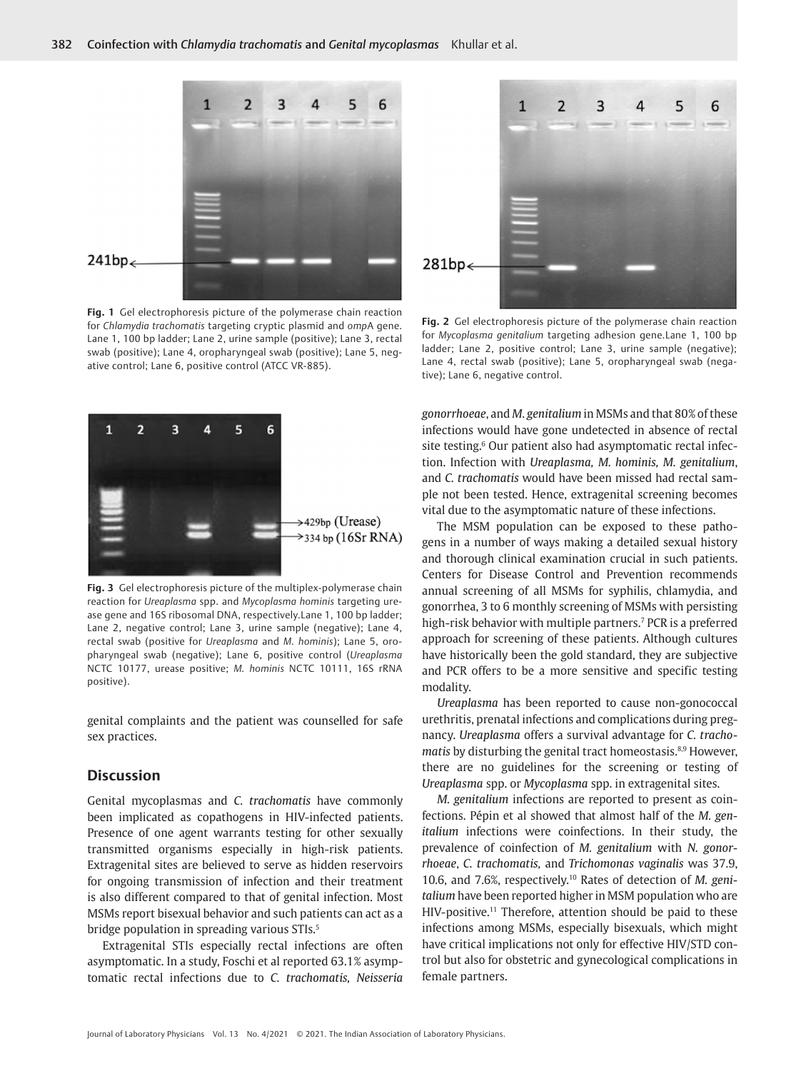

**Fig. 1** Gel electrophoresis picture of the polymerase chain reaction for *Chlamydia trachomatis* targeting cryptic plasmid and *omp*A gene. Lane 1, 100 bp ladder; Lane 2, urine sample (positive); Lane 3, rectal swab (positive); Lane 4, oropharyngeal swab (positive); Lane 5, negative control; Lane 6, positive control (ATCC VR-885).



**Fig. 3** Gel electrophoresis picture of the multiplex-polymerase chain reaction for *Ureaplasma* spp. and *Mycoplasma hominis* targeting urease gene and 16S ribosomal DNA, respectively.Lane 1, 100 bp ladder; Lane 2, negative control; Lane 3, urine sample (negative); Lane 4, rectal swab (positive for *Ureaplasma* and *M. hominis*); Lane 5, oropharyngeal swab (negative); Lane 6, positive control (*Ureaplasma* NCTC 10177, urease positive; *M. hominis* NCTC 10111, 16S rRNA positive).

genital complaints and the patient was counselled for safe sex practices.

## **Discussion**

Genital mycoplasmas and *C. trachomatis* have commonly been implicated as copathogens in HIV-infected patients. Presence of one agent warrants testing for other sexually transmitted organisms especially in high-risk patients. Extragenital sites are believed to serve as hidden reservoirs for ongoing transmission of infection and their treatment is also different compared to that of genital infection. Most MSMs report bisexual behavior and such patients can act as a bridge population in spreading various STIs.<sup>5</sup>

Extragenital STIs especially rectal infections are often asymptomatic. In a study, Foschi et al reported 63.1 % asymptomatic rectal infections due to *C. trachomatis, Neisseria* 



**Fig. 2** Gel electrophoresis picture of the polymerase chain reaction for *Mycoplasma genitalium* targeting adhesion gene.Lane 1, 100 bp ladder; Lane 2, positive control; Lane 3, urine sample (negative); Lane 4, rectal swab (positive); Lane 5, oropharyngeal swab (negative); Lane 6, negative control.

*gonorrhoeae*, and *M. genitalium* in MSMs and that 80 % of these infections would have gone undetected in absence of rectal site testing.<sup>6</sup> Our patient also had asymptomatic rectal infection. Infection with *Ureaplasma, M. hominis, M. genitalium*, and *C. trachomatis* would have been missed had rectal sample not been tested. Hence, extragenital screening becomes vital due to the asymptomatic nature of these infections.

The MSM population can be exposed to these pathogens in a number of ways making a detailed sexual history and thorough clinical examination crucial in such patients. Centers for Disease Control and Prevention recommends annual screening of all MSMs for syphilis, chlamydia, and gonorrhea, 3 to 6 monthly screening of MSMs with persisting high-risk behavior with multiple partners.7 PCR is a preferred approach for screening of these patients. Although cultures have historically been the gold standard, they are subjective and PCR offers to be a more sensitive and specific testing modality.

*Ureaplasma* has been reported to cause non-gonococcal urethritis, prenatal infections and complications during pregnancy. *Ureaplasma* offers a survival advantage for *C. tracho*matis by disturbing the genital tract homeostasis.<sup>8,9</sup> However, there are no guidelines for the screening or testing of *Ureaplasma* spp. or *Mycoplasma* spp. in extragenital sites.

*M. genitalium* infections are reported to present as coinfections. Pépin et al showed that almost half of the *M. genitalium* infections were coinfections. In their study, the prevalence of coinfection of *M. genitalium* with *N. gonorrhoeae*, *C. trachomatis,* and *Trichomonas vaginalis* was 37.9, 10.6, and 7.6%, respectively.10 Rates of detection of *M. genitalium* have been reported higher in MSM population who are HIV-positive.<sup>11</sup> Therefore, attention should be paid to these infections among MSMs, especially bisexuals, which might have critical implications not only for effective HIV/STD control but also for obstetric and gynecological complications in female partners.